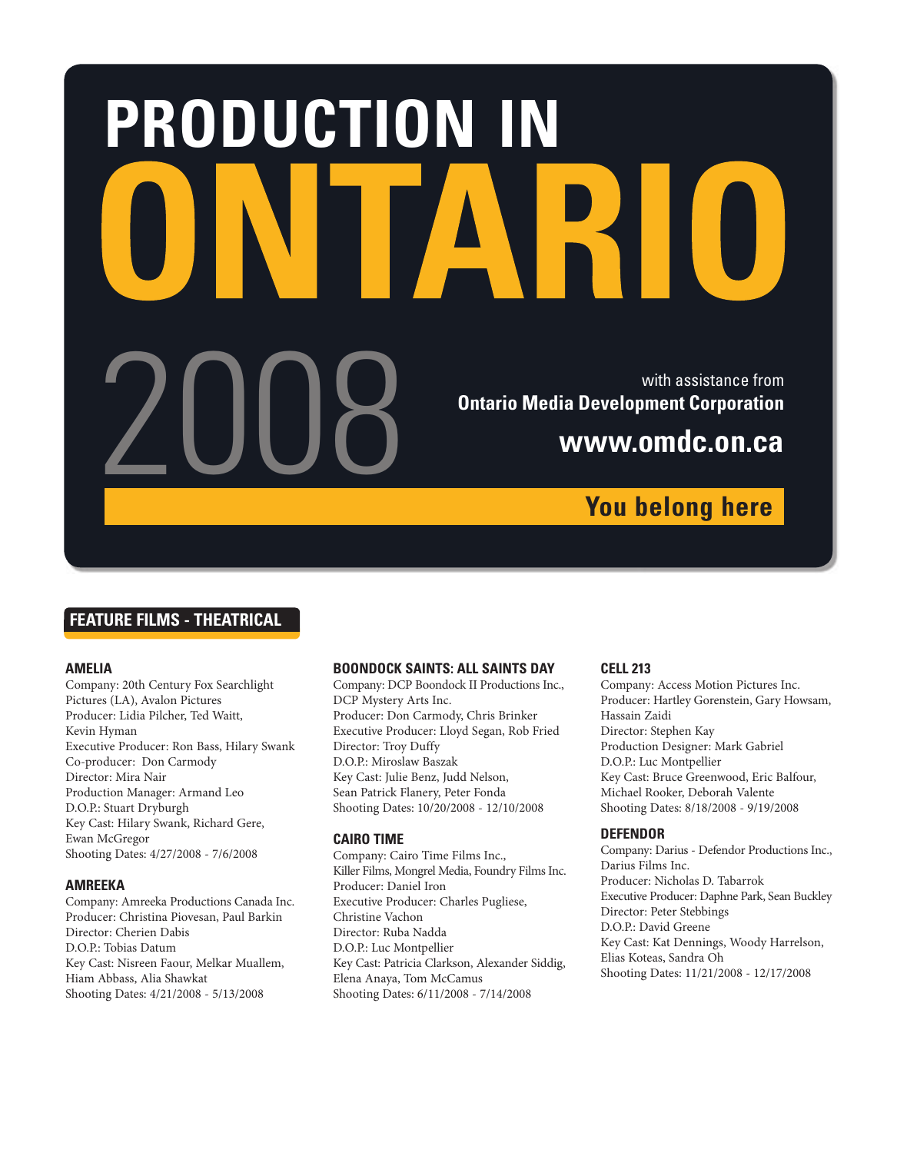# **PRODUCTION IN** With assistance from<br>Del Mario Media Development Corporation<br>WWW.OMdC.ON.Ca **Ontario Media Development Corporation www.omdc.on.ca You belong here**

# **FEATURE FILMS - THEATRICAL**

#### **AMELIA**

Company: 20th Century Fox Searchlight Pictures (LA), Avalon Pictures Producer: Lidia Pilcher, Ted Waitt, Kevin Hyman Executive Producer: Ron Bass, Hilary Swank Co-producer: Don Carmody Director: Mira Nair Production Manager: Armand Leo D.O.P.: Stuart Dryburgh Key Cast: Hilary Swank, Richard Gere, Ewan McGregor Shooting Dates: 4/27/2008 - 7/6/2008

#### **AMREEKA**

Company: Amreeka Productions Canada Inc. Producer: Christina Piovesan, Paul Barkin Director: Cherien Dabis D.O.P.: Tobias Datum Key Cast: Nisreen Faour, Melkar Muallem, Hiam Abbass, Alia Shawkat Shooting Dates: 4/21/2008 - 5/13/2008

#### **BOONDOCK SAINTS: ALL SAINTS DAY**

Company: DCP Boondock II Productions Inc., DCP Mystery Arts Inc. Producer: Don Carmody, Chris Brinker Executive Producer: Lloyd Segan, Rob Fried Director: Troy Duffy D.O.P.: Miroslaw Baszak Key Cast: Julie Benz, Judd Nelson, Sean Patrick Flanery, Peter Fonda Shooting Dates: 10/20/2008 - 12/10/2008

#### **CAIRO TIME**

Company: Cairo Time Films Inc., Killer Films, Mongrel Media, Foundry Films Inc. Producer: Daniel Iron Executive Producer: Charles Pugliese, Christine Vachon Director: Ruba Nadda D.O.P.: Luc Montpellier Key Cast: Patricia Clarkson, Alexander Siddig, Elena Anaya, Tom McCamus Shooting Dates: 6/11/2008 - 7/14/2008

#### **CELL 213**

Company: Access Motion Pictures Inc. Producer: Hartley Gorenstein, Gary Howsam, Hassain Zaidi Director: Stephen Kay Production Designer: Mark Gabriel D.O.P.: Luc Montpellier Key Cast: Bruce Greenwood, Eric Balfour, Michael Rooker, Deborah Valente Shooting Dates: 8/18/2008 - 9/19/2008

#### **DEFENDOR**

Company: Darius - Defendor Productions Inc., Darius Films Inc. Producer: Nicholas D. Tabarrok Executive Producer: Daphne Park, Sean Buckley Director: Peter Stebbings D.O.P.: David Greene Key Cast: Kat Dennings, Woody Harrelson, Elias Koteas, Sandra Oh Shooting Dates: 11/21/2008 - 12/17/2008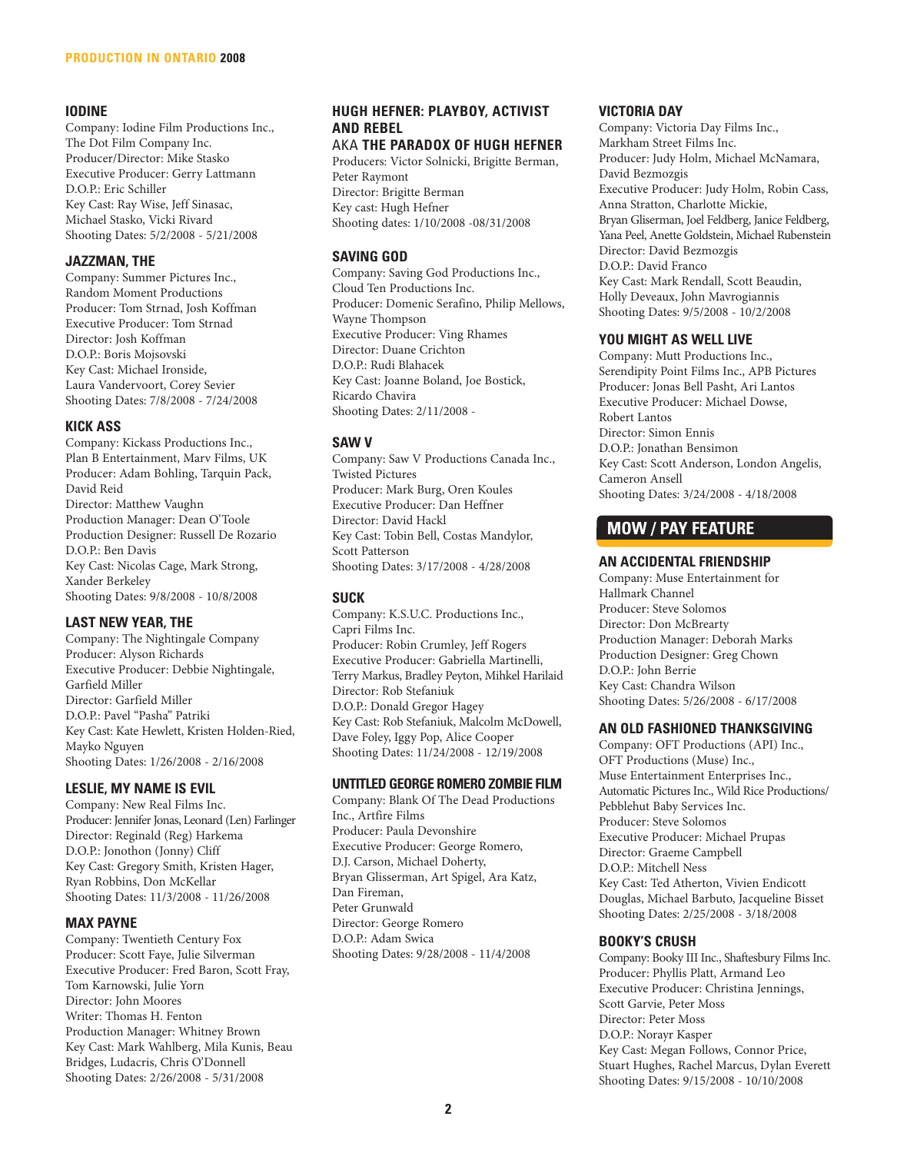# **IODINE**

Company: Iodine Film Productions Inc., The Dot Film Company Inc. Producer/Director: Mike Stasko Executive Producer: Gerry Lattmann D.O.P.: Eric Schiller Key Cast: Ray Wise, Jeff Sinasac, Michael Stasko, Vicki Rivard Shooting Dates: 5/2/2008 - 5/21/2008

#### **JAZZMAN, THE**

Company: Summer Pictures Inc., Random Moment Productions Producer: Tom Strnad, Josh Koffman Executive Producer: Tom Strnad Director: Josh Koffman D.O.P.: Boris Mojsovski Key Cast: Michael Ironside, Laura Vandervoort, Corey Sevier Shooting Dates: 7/8/2008 - 7/24/2008

#### **KICK ASS**

Company: Kickass Productions Inc., Plan B Entertainment, Marv Films, UK Producer: Adam Bohling, Tarquin Pack, David Reid Director: Matthew Vaughn Production Manager: Dean O'Toole Production Designer: Russell De Rozario D.O.P.: Ben Davis Key Cast: Nicolas Cage, Mark Strong, Xander Berkeley Shooting Dates: 9/8/2008 - 10/8/2008

# **LAST NEW YEAR, THE**

Company: The Nightingale Company Producer: Alyson Richards Executive Producer: Debbie Nightingale, Garfield Miller Director: Garfield Miller D.O.P.: Pavel "Pasha" Patriki Key Cast: Kate Hewlett, Kristen Holden-Ried, Mayko Nguyen Shooting Dates: 1/26/2008 - 2/16/2008

#### **LESLIE, MY NAME IS EVIL**

Company: New Real Films Inc. Producer: Jennifer Jonas, Leonard (Len) Farlinger Director: Reginald (Reg) Harkema D.O.P.: Jonothon (Jonny) Cliff Key Cast: Gregory Smith, Kristen Hager, Ryan Robbins, Don McKellar Shooting Dates: 11/3/2008 - 11/26/2008

# **MAX PAYNE**

Company: Twentieth Century Fox Producer: Scott Faye, Julie Silverman Executive Producer: Fred Baron, Scott Fray, Tom Karnowski, Julie Yorn Director: John Moores Writer: Thomas H. Fenton Production Manager: Whitney Brown Key Cast: Mark Wahlberg, Mila Kunis, Beau Bridges, Ludacris, Chris O'Donnell Shooting Dates: 2/26/2008 - 5/31/2008

# **HUGH HEFNER: PLAYBOY, ACTIVIST AND REBEL**

#### AKA **THE PARADOX OF HUGH HEFNER**

Producers: Victor Solnicki, Brigitte Berman, Peter Raymont Director: Brigitte Berman Key cast: Hugh Hefner Shooting dates: 1/10/2008 -08/31/2008

# **SAVING GOD**

Company: Saving God Productions Inc., Cloud Ten Productions Inc. Producer: Domenic Serafino, Philip Mellows, Wayne Thompson Executive Producer: Ving Rhames Director: Duane Crichton D.O.P.: Rudi Blahacek Key Cast: Joanne Boland, Joe Bostick, Ricardo Chavira Shooting Dates: 2/11/2008 -

# **SAW V**

Company: Saw V Productions Canada Inc., Twisted Pictures Producer: Mark Burg, Oren Koules Executive Producer: Dan Heffner Director: David Hackl Key Cast: Tobin Bell, Costas Mandylor, Scott Patterson Shooting Dates: 3/17/2008 - 4/28/2008

# **SUCK**

Company: K.S.U.C. Productions Inc., Capri Films Inc. Producer: Robin Crumley, Jeff Rogers Executive Producer: Gabriella Martinelli, Terry Markus, Bradley Peyton, Mihkel Harilaid Director: Rob Stefaniuk D.O.P.: Donald Gregor Hagey Key Cast: Rob Stefaniuk, Malcolm McDowell, Dave Foley, Iggy Pop, Alice Cooper Shooting Dates: 11/24/2008 - 12/19/2008

#### **UNTITLED GEORGE ROMERO ZOMBIE FILM**

Company: Blank Of The Dead Productions Inc., Artfire Films Producer: Paula Devonshire Executive Producer: George Romero, D.J. Carson, Michael Doherty, Bryan Glisserman, Art Spigel, Ara Katz, Dan Fireman, Peter Grunwald Director: George Romero D.O.P.: Adam Swica Shooting Dates: 9/28/2008 - 11/4/2008

#### **VICTORIA DAY**

Company: Victoria Day Films Inc., Markham Street Films Inc. Producer: Judy Holm, Michael McNamara, David Bezmozgis Executive Producer: Judy Holm, Robin Cass, Anna Stratton, Charlotte Mickie, Bryan Gliserman, Joel Feldberg, Janice Feldberg, Yana Peel, Anette Goldstein, Michael Rubenstein Director: David Bezmozgis D.O.P.: David Franco Key Cast: Mark Rendall, Scott Beaudin, Holly Deveaux, John Mavrogiannis Shooting Dates: 9/5/2008 - 10/2/2008

#### **YOU MIGHT AS WELL LIVE**

Company: Mutt Productions Inc., Serendipity Point Films Inc., APB Pictures Producer: Jonas Bell Pasht, Ari Lantos Executive Producer: Michael Dowse, Robert Lantos Director: Simon Ennis D.O.P.: Jonathan Bensimon Key Cast: Scott Anderson, London Angelis, Cameron Ansell Shooting Dates: 3/24/2008 - 4/18/2008

# **MOW / PAY FEATURE**

#### **AN ACCIDENTAL FRIENDSHIP**

Company: Muse Entertainment for Hallmark Channel Producer: Steve Solomos Director: Don McBrearty Production Manager: Deborah Marks Production Designer: Greg Chown D.O.P.: John Berrie Key Cast: Chandra Wilson Shooting Dates: 5/26/2008 - 6/17/2008

# **AN OLD FASHIONED THANKSGIVING**

Company: OFT Productions (API) Inc., OFT Productions (Muse) Inc., Muse Entertainment Enterprises Inc., Automatic Pictures Inc., Wild Rice Productions/ Pebblehut Baby Services Inc. Producer: Steve Solomos Executive Producer: Michael Prupas Director: Graeme Campbell D.O.P.: Mitchell Ness Key Cast: Ted Atherton, Vivien Endicott Douglas, Michael Barbuto, Jacqueline Bisset Shooting Dates: 2/25/2008 - 3/18/2008

# **BOOKY'S CRUSH**

Company: Booky III Inc., Shaftesbury Films Inc. Producer: Phyllis Platt, Armand Leo Executive Producer: Christina Jennings, Scott Garvie, Peter Moss Director: Peter Moss D.O.P.: Norayr Kasper Key Cast: Megan Follows, Connor Price, Stuart Hughes, Rachel Marcus, Dylan Everett Shooting Dates: 9/15/2008 - 10/10/2008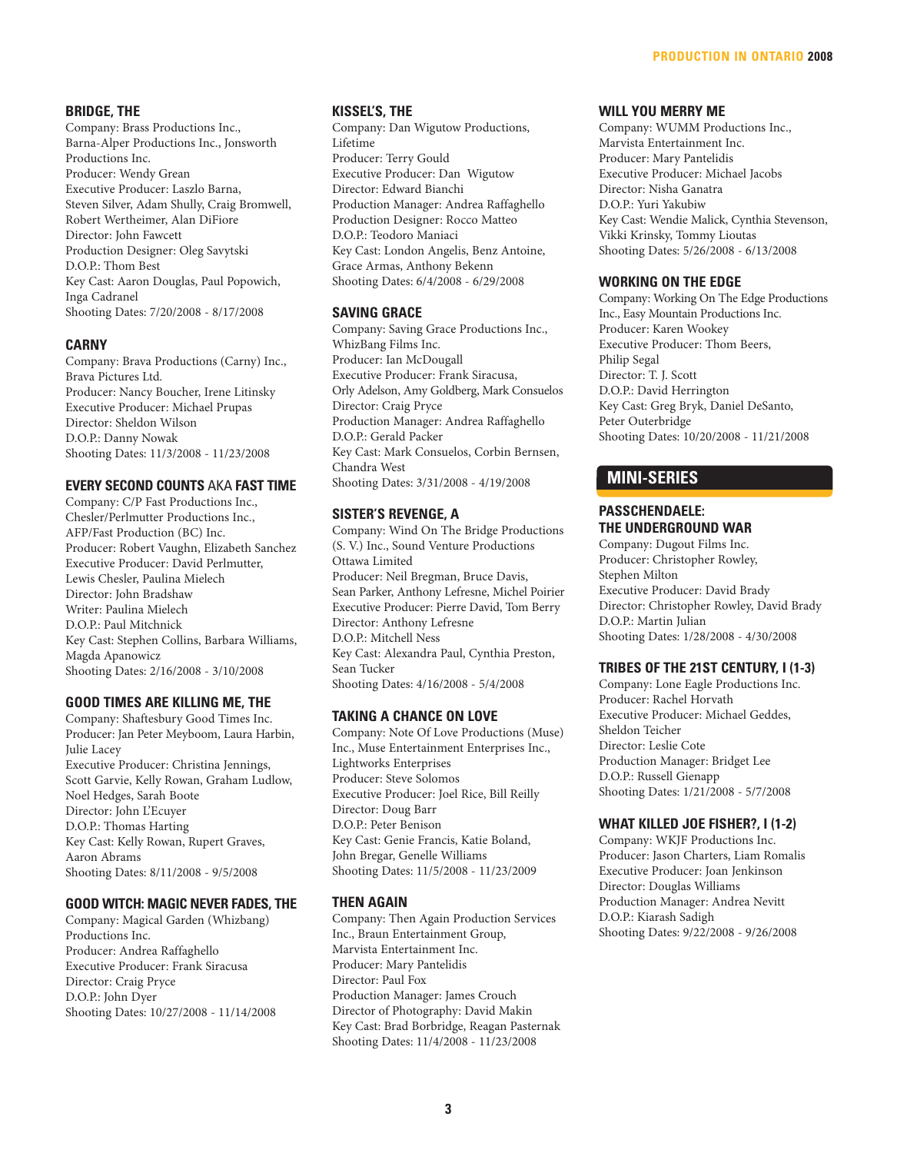#### **BRIDGE, THE**

Company: Brass Productions Inc., Barna-Alper Productions Inc., Jonsworth Productions Inc. Producer: Wendy Grean Executive Producer: Laszlo Barna, Steven Silver, Adam Shully, Craig Bromwell, Robert Wertheimer, Alan DiFiore Director: John Fawcett Production Designer: Oleg Savytski D.O.P.: Thom Best Key Cast: Aaron Douglas, Paul Popowich, Inga Cadranel Shooting Dates: 7/20/2008 - 8/17/2008

#### **CARNY**

Company: Brava Productions (Carny) Inc., Brava Pictures Ltd. Producer: Nancy Boucher, Irene Litinsky Executive Producer: Michael Prupas Director: Sheldon Wilson D.O.P.: Danny Nowak Shooting Dates: 11/3/2008 - 11/23/2008

# **EVERY SECOND COUNTS** AKA **FAST TIME**

Company: C/P Fast Productions Inc., Chesler/Perlmutter Productions Inc., AFP/Fast Production (BC) Inc. Producer: Robert Vaughn, Elizabeth Sanchez Executive Producer: David Perlmutter, Lewis Chesler, Paulina Mielech Director: John Bradshaw Writer: Paulina Mielech D.O.P.: Paul Mitchnick Key Cast: Stephen Collins, Barbara Williams, Magda Apanowicz Shooting Dates: 2/16/2008 - 3/10/2008

#### **GOOD TIMES ARE KILLING ME, THE**

Company: Shaftesbury Good Times Inc. Producer: Jan Peter Meyboom, Laura Harbin, Julie Lacey Executive Producer: Christina Jennings, Scott Garvie, Kelly Rowan, Graham Ludlow, Noel Hedges, Sarah Boote Director: John L'Ecuyer D.O.P.: Thomas Harting Key Cast: Kelly Rowan, Rupert Graves, Aaron Abrams Shooting Dates: 8/11/2008 - 9/5/2008

#### **GOOD WITCH: MAGIC NEVER FADES, THE**

Company: Magical Garden (Whizbang) Productions Inc. Producer: Andrea Raffaghello Executive Producer: Frank Siracusa Director: Craig Pryce D.O.P.: John Dyer Shooting Dates: 10/27/2008 - 11/14/2008

#### **KISSEL'S, THE**

Company: Dan Wigutow Productions, Lifetime Producer: Terry Gould Executive Producer: Dan Wigutow Director: Edward Bianchi Production Manager: Andrea Raffaghello Production Designer: Rocco Matteo D.O.P.: Teodoro Maniaci Key Cast: London Angelis, Benz Antoine, Grace Armas, Anthony Bekenn Shooting Dates: 6/4/2008 - 6/29/2008

#### **SAVING GRACE**

Company: Saving Grace Productions Inc., WhizBang Films Inc. Producer: Ian McDougall Executive Producer: Frank Siracusa, Orly Adelson, Amy Goldberg, Mark Consuelos Director: Craig Pryce Production Manager: Andrea Raffaghello D.O.P.: Gerald Packer Key Cast: Mark Consuelos, Corbin Bernsen, Chandra West Shooting Dates: 3/31/2008 - 4/19/2008

#### **SISTER'S REVENGE, A**

Company: Wind On The Bridge Productions (S. V.) Inc., Sound Venture Productions Ottawa Limited Producer: Neil Bregman, Bruce Davis, Sean Parker, Anthony Lefresne, Michel Poirier Executive Producer: Pierre David, Tom Berry Director: Anthony Lefresne D.O.P.: Mitchell Ness Key Cast: Alexandra Paul, Cynthia Preston, Sean Tucker Shooting Dates: 4/16/2008 - 5/4/2008

#### **TAKING A CHANCE ON LOVE**

Company: Note Of Love Productions (Muse) Inc., Muse Entertainment Enterprises Inc., Lightworks Enterprises Producer: Steve Solomos Executive Producer: Joel Rice, Bill Reilly Director: Doug Barr D.O.P.: Peter Benison Key Cast: Genie Francis, Katie Boland, John Bregar, Genelle Williams Shooting Dates: 11/5/2008 - 11/23/2009

#### **THEN AGAIN**

Company: Then Again Production Services Inc., Braun Entertainment Group, Marvista Entertainment Inc. Producer: Mary Pantelidis Director: Paul Fox Production Manager: James Crouch Director of Photography: David Makin Key Cast: Brad Borbridge, Reagan Pasternak Shooting Dates: 11/4/2008 - 11/23/2008

#### **WILL YOU MERRY ME**

Company: WUMM Productions Inc., Marvista Entertainment Inc. Producer: Mary Pantelidis Executive Producer: Michael Jacobs Director: Nisha Ganatra D.O.P.: Yuri Yakubiw Key Cast: Wendie Malick, Cynthia Stevenson, Vikki Krinsky, Tommy Lioutas Shooting Dates: 5/26/2008 - 6/13/2008

#### **WORKING ON THE EDGE**

Company: Working On The Edge Productions Inc., Easy Mountain Productions Inc. Producer: Karen Wookey Executive Producer: Thom Beers, Philip Segal Director: T. J. Scott D.O.P.: David Herrington Key Cast: Greg Bryk, Daniel DeSanto, Peter Outerbridge Shooting Dates: 10/20/2008 - 11/21/2008

# **MINI-SERIES**

#### **PASSCHENDAELE: THE UNDERGROUND WAR**

Company: Dugout Films Inc. Producer: Christopher Rowley, Stephen Milton Executive Producer: David Brady Director: Christopher Rowley, David Brady D.O.P.: Martin Julian Shooting Dates: 1/28/2008 - 4/30/2008

#### **TRIBES OF THE 21ST CENTURY, I (1-3)**

Company: Lone Eagle Productions Inc. Producer: Rachel Horvath Executive Producer: Michael Geddes, Sheldon Teicher Director: Leslie Cote Production Manager: Bridget Lee D.O.P.: Russell Gienapp Shooting Dates: 1/21/2008 - 5/7/2008

#### **WHAT KILLED JOE FISHER?, I (1-2)**

Company: WKJF Productions Inc. Producer: Jason Charters, Liam Romalis Executive Producer: Joan Jenkinson Director: Douglas Williams Production Manager: Andrea Nevitt D.O.P.: Kiarash Sadigh Shooting Dates: 9/22/2008 - 9/26/2008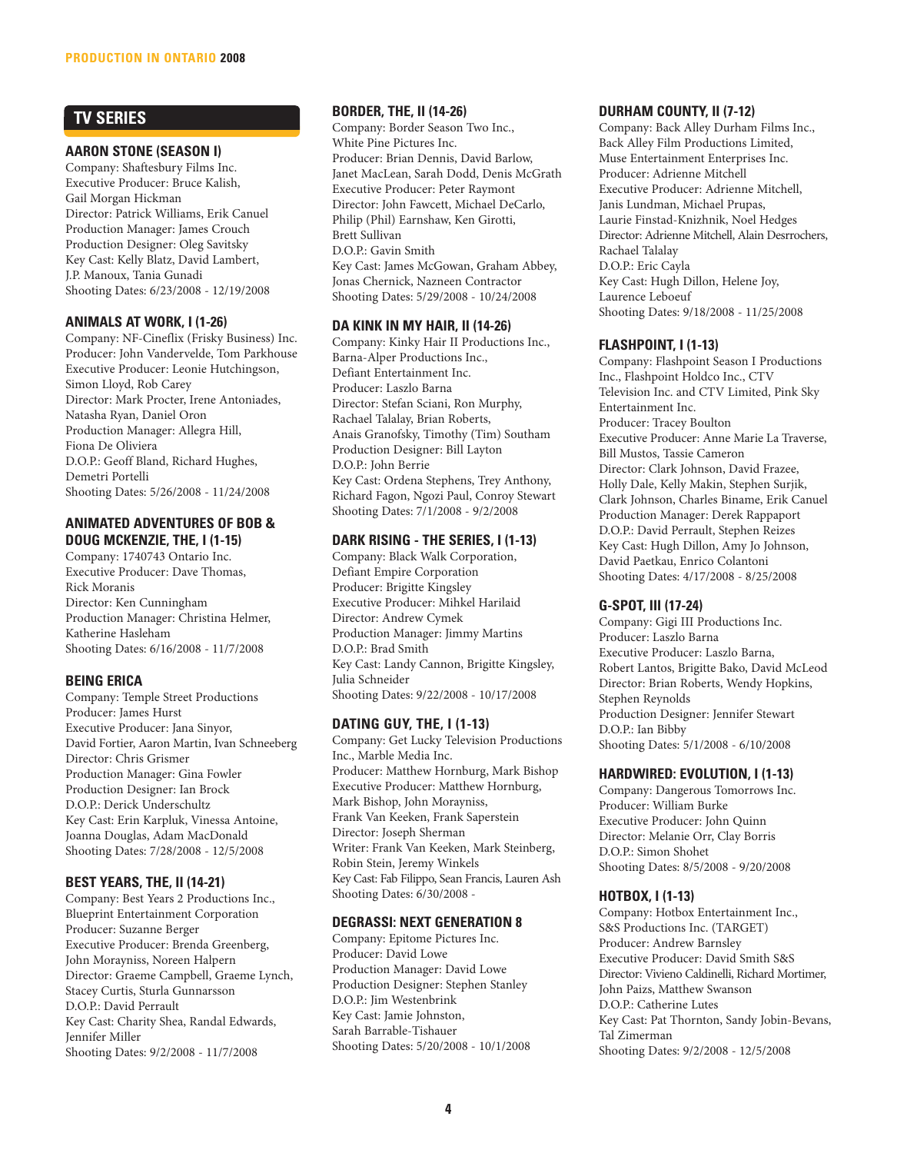# **TV SERIES**

#### **AARON STONE (SEASON I)**

Company: Shaftesbury Films Inc. Executive Producer: Bruce Kalish, Gail Morgan Hickman Director: Patrick Williams, Erik Canuel Production Manager: James Crouch Production Designer: Oleg Savitsky Key Cast: Kelly Blatz, David Lambert, J.P. Manoux, Tania Gunadi Shooting Dates: 6/23/2008 - 12/19/2008

# **ANIMALS AT WORK, I (1-26)**

Company: NF-Cineflix (Frisky Business) Inc. Producer: John Vandervelde, Tom Parkhouse Executive Producer: Leonie Hutchingson, Simon Lloyd, Rob Carey Director: Mark Procter, Irene Antoniades, Natasha Ryan, Daniel Oron Production Manager: Allegra Hill, Fiona De Oliviera D.O.P.: Geoff Bland, Richard Hughes, Demetri Portelli Shooting Dates: 5/26/2008 - 11/24/2008

#### **ANIMATED ADVENTURES OF BOB & DOUG MCKENZIE, THE, I (1-15)**

Company: 1740743 Ontario Inc. Executive Producer: Dave Thomas, Rick Moranis Director: Ken Cunningham Production Manager: Christina Helmer, Katherine Hasleham Shooting Dates: 6/16/2008 - 11/7/2008

# **BEING ERICA**

Company: Temple Street Productions Producer: James Hurst Executive Producer: Jana Sinyor, David Fortier, Aaron Martin, Ivan Schneeberg Director: Chris Grismer Production Manager: Gina Fowler Production Designer: Ian Brock D.O.P.: Derick Underschultz Key Cast: Erin Karpluk, Vinessa Antoine, Joanna Douglas, Adam MacDonald Shooting Dates: 7/28/2008 - 12/5/2008

# **BEST YEARS, THE, II (14-21)**

Company: Best Years 2 Productions Inc., Blueprint Entertainment Corporation Producer: Suzanne Berger Executive Producer: Brenda Greenberg, John Morayniss, Noreen Halpern Director: Graeme Campbell, Graeme Lynch, Stacey Curtis, Sturla Gunnarsson D.O.P.: David Perrault Key Cast: Charity Shea, Randal Edwards, Jennifer Miller Shooting Dates: 9/2/2008 - 11/7/2008

# **BORDER, THE, II (14-26)**

Company: Border Season Two Inc., White Pine Pictures Inc. Producer: Brian Dennis, David Barlow, Janet MacLean, Sarah Dodd, Denis McGrath Executive Producer: Peter Raymont Director: John Fawcett, Michael DeCarlo, Philip (Phil) Earnshaw, Ken Girotti, Brett Sullivan D.O.P.: Gavin Smith Key Cast: James McGowan, Graham Abbey, Jonas Chernick, Nazneen Contractor Shooting Dates: 5/29/2008 - 10/24/2008

# **DA KINK IN MY HAIR, II (14-26)**

Company: Kinky Hair II Productions Inc., Barna-Alper Productions Inc., Defiant Entertainment Inc. Producer: Laszlo Barna Director: Stefan Sciani, Ron Murphy, Rachael Talalay, Brian Roberts, Anais Granofsky, Timothy (Tim) Southam Production Designer: Bill Layton D.O.P.: John Berrie Key Cast: Ordena Stephens, Trey Anthony, Richard Fagon, Ngozi Paul, Conroy Stewart Shooting Dates: 7/1/2008 - 9/2/2008

# **DARK RISING - THE SERIES, I (1-13)**

Company: Black Walk Corporation, Defiant Empire Corporation Producer: Brigitte Kingsley Executive Producer: Mihkel Harilaid Director: Andrew Cymek Production Manager: Jimmy Martins D.O.P.: Brad Smith Key Cast: Landy Cannon, Brigitte Kingsley, Julia Schneider Shooting Dates: 9/22/2008 - 10/17/2008

# **DATING GUY, THE, I (1-13)**

Company: Get Lucky Television Productions Inc., Marble Media Inc. Producer: Matthew Hornburg, Mark Bishop Executive Producer: Matthew Hornburg, Mark Bishop, John Morayniss, Frank Van Keeken, Frank Saperstein Director: Joseph Sherman Writer: Frank Van Keeken, Mark Steinberg, Robin Stein, Jeremy Winkels Key Cast: Fab Filippo, Sean Francis, Lauren Ash Shooting Dates: 6/30/2008 -

# **DEGRASSI: NEXT GENERATION 8**

Company: Epitome Pictures Inc. Producer: David Lowe Production Manager: David Lowe Production Designer: Stephen Stanley D.O.P.: Jim Westenbrink Key Cast: Jamie Johnston, Sarah Barrable-Tishauer Shooting Dates: 5/20/2008 - 10/1/2008

# **DURHAM COUNTY, II (7-12)**

Company: Back Alley Durham Films Inc., Back Alley Film Productions Limited, Muse Entertainment Enterprises Inc. Producer: Adrienne Mitchell Executive Producer: Adrienne Mitchell, Janis Lundman, Michael Prupas, Laurie Finstad-Knizhnik, Noel Hedges Director: Adrienne Mitchell, Alain Desrrochers, Rachael Talalay D.O.P.: Eric Cayla Key Cast: Hugh Dillon, Helene Joy, Laurence Leboeuf Shooting Dates: 9/18/2008 - 11/25/2008

# **FLASHPOINT, I (1-13)**

Company: Flashpoint Season I Productions Inc., Flashpoint Holdco Inc., CTV Television Inc. and CTV Limited, Pink Sky Entertainment Inc. Producer: Tracey Boulton Executive Producer: Anne Marie La Traverse, Bill Mustos, Tassie Cameron Director: Clark Johnson, David Frazee, Holly Dale, Kelly Makin, Stephen Surjik, Clark Johnson, Charles Biname, Erik Canuel Production Manager: Derek Rappaport D.O.P.: David Perrault, Stephen Reizes Key Cast: Hugh Dillon, Amy Jo Johnson, David Paetkau, Enrico Colantoni Shooting Dates: 4/17/2008 - 8/25/2008

# **G-SPOT, III (17-24)**

Company: Gigi III Productions Inc. Producer: Laszlo Barna Executive Producer: Laszlo Barna, Robert Lantos, Brigitte Bako, David McLeod Director: Brian Roberts, Wendy Hopkins, Stephen Reynolds Production Designer: Jennifer Stewart D.O.P.: Ian Bibby Shooting Dates: 5/1/2008 - 6/10/2008

# **HARDWIRED: EVOLUTION, I (1-13)**

Company: Dangerous Tomorrows Inc. Producer: William Burke Executive Producer: John Quinn Director: Melanie Orr, Clay Borris D.O.P.: Simon Shohet Shooting Dates: 8/5/2008 - 9/20/2008

# **HOTBOX, I (1-13)**

Company: Hotbox Entertainment Inc., S&S Productions Inc. (TARGET) Producer: Andrew Barnsley Executive Producer: David Smith S&S Director: Vivieno Caldinelli, Richard Mortimer, John Paizs, Matthew Swanson D.O.P.: Catherine Lutes Key Cast: Pat Thornton, Sandy Jobin-Bevans, Tal Zimerman Shooting Dates: 9/2/2008 - 12/5/2008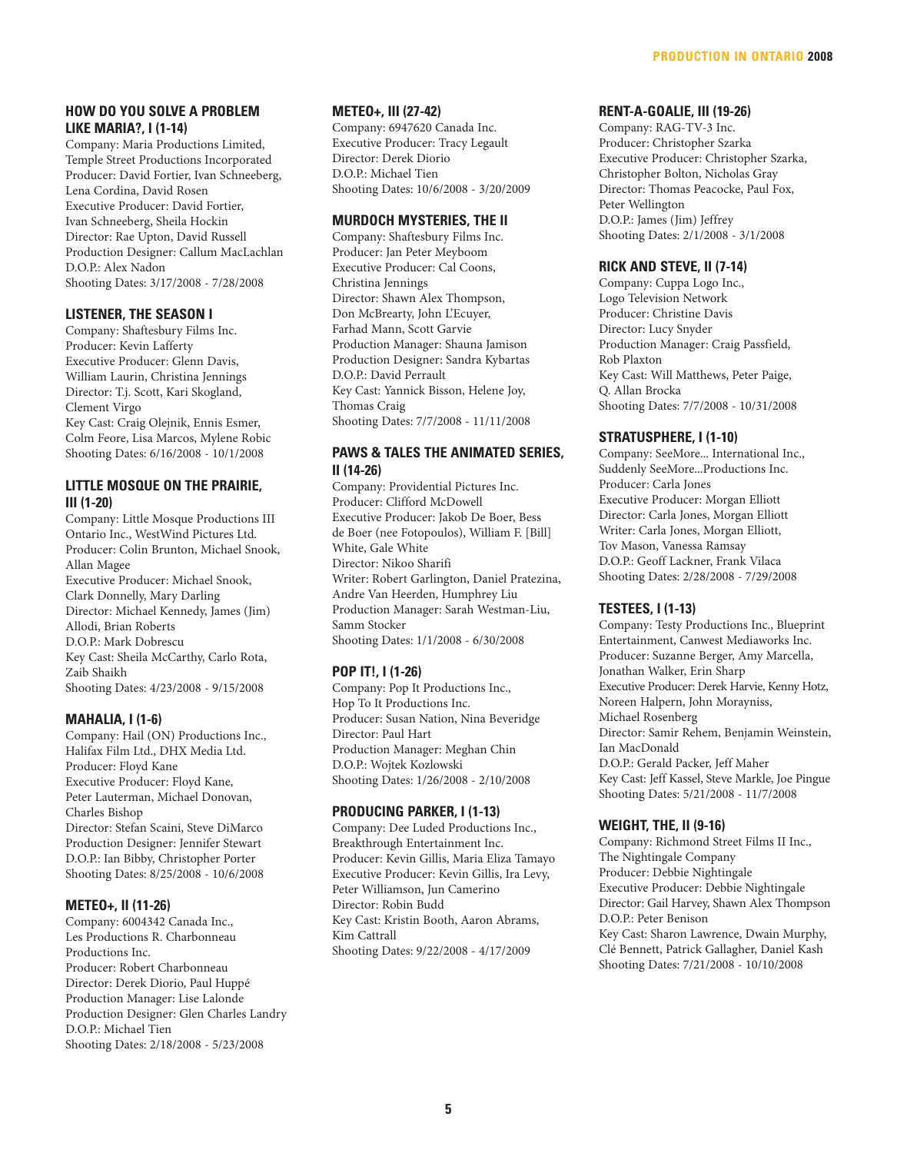#### **HOW DO YOU SOLVE A PROBLEM LIKE MARIA?, I (1-14)**

Company: Maria Productions Limited, Temple Street Productions Incorporated Producer: David Fortier, Ivan Schneeberg, Lena Cordina, David Rosen Executive Producer: David Fortier, Ivan Schneeberg, Sheila Hockin Director: Rae Upton, David Russell Production Designer: Callum MacLachlan D.O.P.: Alex Nadon Shooting Dates: 3/17/2008 - 7/28/2008

# **LISTENER, THE SEASON I**

Company: Shaftesbury Films Inc. Producer: Kevin Lafferty Executive Producer: Glenn Davis, William Laurin, Christina Jennings Director: T.j. Scott, Kari Skogland, Clement Virgo Key Cast: Craig Olejnik, Ennis Esmer, Colm Feore, Lisa Marcos, Mylene Robic Shooting Dates: 6/16/2008 - 10/1/2008

### **LITTLE MOSQUE ON THE PRAIRIE, III (1-20)**

Company: Little Mosque Productions III Ontario Inc., WestWind Pictures Ltd. Producer: Colin Brunton, Michael Snook, Allan Magee Executive Producer: Michael Snook, Clark Donnelly, Mary Darling Director: Michael Kennedy, James (Jim) Allodi, Brian Roberts D.O.P.: Mark Dobrescu Key Cast: Sheila McCarthy, Carlo Rota, Zaib Shaikh Shooting Dates: 4/23/2008 - 9/15/2008

# **MAHALIA, I (1-6)**

Company: Hail (ON) Productions Inc., Halifax Film Ltd., DHX Media Ltd. Producer: Floyd Kane Executive Producer: Floyd Kane, Peter Lauterman, Michael Donovan, Charles Bishop Director: Stefan Scaini, Steve DiMarco Production Designer: Jennifer Stewart D.O.P.: Ian Bibby, Christopher Porter Shooting Dates: 8/25/2008 - 10/6/2008

# **METEO+, II (11-26)**

Company: 6004342 Canada Inc., Les Productions R. Charbonneau Productions Inc. Producer: Robert Charbonneau Director: Derek Diorio, Paul Huppé Production Manager: Lise Lalonde Production Designer: Glen Charles Landry D.O.P.: Michael Tien Shooting Dates: 2/18/2008 - 5/23/2008

#### **METEO+, III (27-42)**

Company: 6947620 Canada Inc. Executive Producer: Tracy Legault Director: Derek Diorio D.O.P.: Michael Tien Shooting Dates: 10/6/2008 - 3/20/2009

#### **MURDOCH MYSTERIES, THE II**

Company: Shaftesbury Films Inc. Producer: Jan Peter Meyboom Executive Producer: Cal Coons, Christina Jennings Director: Shawn Alex Thompson, Don McBrearty, John L'Ecuyer, Farhad Mann, Scott Garvie Production Manager: Shauna Jamison Production Designer: Sandra Kybartas D.O.P.: David Perrault Key Cast: Yannick Bisson, Helene Joy, Thomas Craig Shooting Dates: 7/7/2008 - 11/11/2008

#### **PAWS & TALES THE ANIMATED SERIES, II (14-26)**

Company: Providential Pictures Inc. Producer: Clifford McDowell Executive Producer: Jakob De Boer, Bess de Boer (nee Fotopoulos), William F. [Bill] White, Gale White Director: Nikoo Sharifi Writer: Robert Garlington, Daniel Pratezina, Andre Van Heerden, Humphrey Liu Production Manager: Sarah Westman-Liu, Samm Stocker Shooting Dates: 1/1/2008 - 6/30/2008

# **POP IT!, I (1-26)**

Company: Pop It Productions Inc., Hop To It Productions Inc. Producer: Susan Nation, Nina Beveridge Director: Paul Hart Production Manager: Meghan Chin D.O.P.: Wojtek Kozlowski Shooting Dates: 1/26/2008 - 2/10/2008

#### **PRODUCING PARKER, I (1-13)**

Company: Dee Luded Productions Inc., Breakthrough Entertainment Inc. Producer: Kevin Gillis, Maria Eliza Tamayo Executive Producer: Kevin Gillis, Ira Levy, Peter Williamson, Jun Camerino Director: Robin Budd Key Cast: Kristin Booth, Aaron Abrams, Kim Cattrall Shooting Dates: 9/22/2008 - 4/17/2009

#### **RENT-A-GOALIE, III (19-26)**

Company: RAG-TV-3 Inc. Producer: Christopher Szarka Executive Producer: Christopher Szarka, Christopher Bolton, Nicholas Gray Director: Thomas Peacocke, Paul Fox, Peter Wellington D.O.P.: James (Jim) Jeffrey Shooting Dates: 2/1/2008 - 3/1/2008

#### **RICK AND STEVE, II (7-14)**

Company: Cuppa Logo Inc., Logo Television Network Producer: Christine Davis Director: Lucy Snyder Production Manager: Craig Passfield, Rob Plaxton Key Cast: Will Matthews, Peter Paige, Q. Allan Brocka Shooting Dates: 7/7/2008 - 10/31/2008

#### **STRATUSPHERE, I (1-10)**

Company: SeeMore... International Inc., Suddenly SeeMore...Productions Inc. Producer: Carla Jones Executive Producer: Morgan Elliott Director: Carla Jones, Morgan Elliott Writer: Carla Jones, Morgan Elliott, Tov Mason, Vanessa Ramsay D.O.P.: Geoff Lackner, Frank Vilaca Shooting Dates: 2/28/2008 - 7/29/2008

# **TESTEES, I (1-13)**

Company: Testy Productions Inc., Blueprint Entertainment, Canwest Mediaworks Inc. Producer: Suzanne Berger, Amy Marcella, Jonathan Walker, Erin Sharp Executive Producer: Derek Harvie, Kenny Hotz, Noreen Halpern, John Morayniss, Michael Rosenberg Director: Samir Rehem, Benjamin Weinstein, Ian MacDonald D.O.P.: Gerald Packer, Jeff Maher Key Cast: Jeff Kassel, Steve Markle, Joe Pingue Shooting Dates: 5/21/2008 - 11/7/2008

# **WEIGHT, THE, II (9-16)**

Company: Richmond Street Films II Inc., The Nightingale Company Producer: Debbie Nightingale Executive Producer: Debbie Nightingale Director: Gail Harvey, Shawn Alex Thompson D.O.P.: Peter Benison Key Cast: Sharon Lawrence, Dwain Murphy, Clé Bennett, Patrick Gallagher, Daniel Kash Shooting Dates: 7/21/2008 - 10/10/2008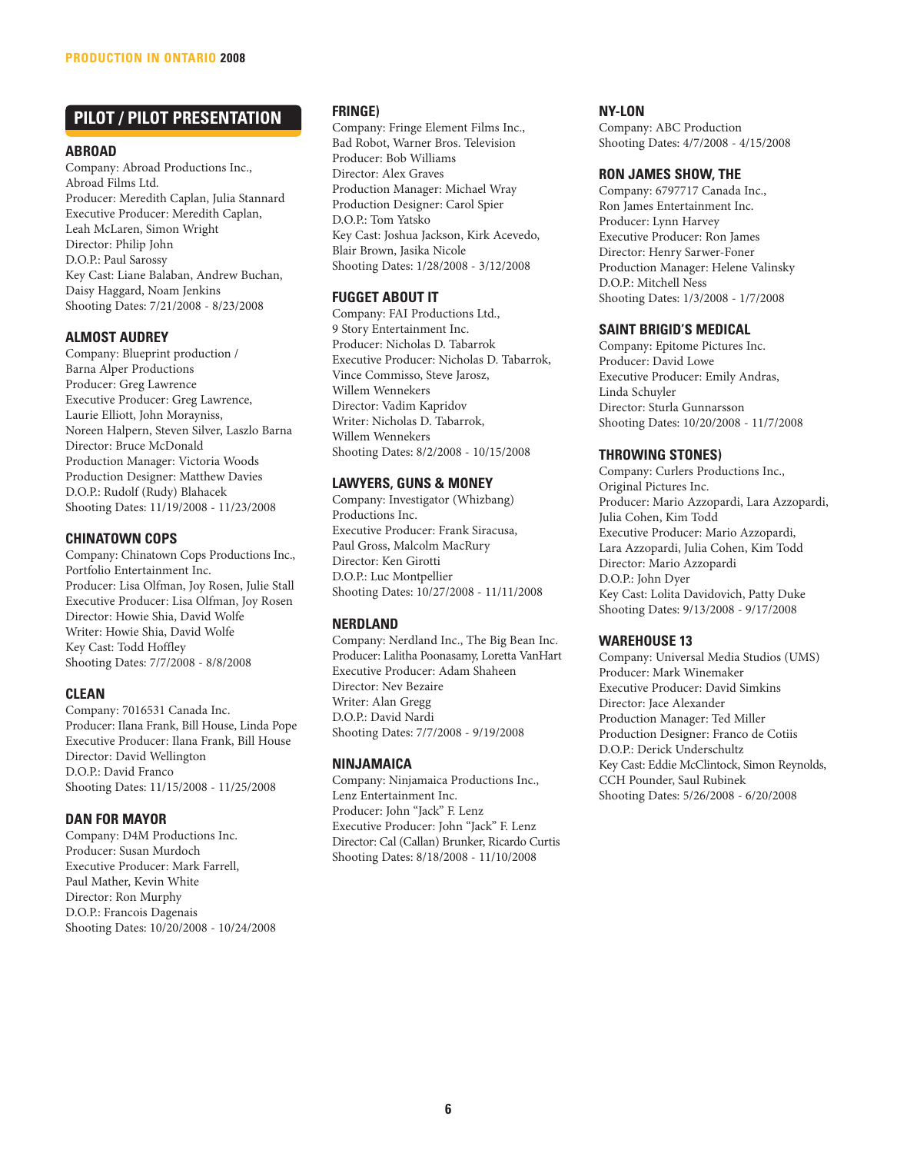# **PILOT / PILOT PRESENTATION**

#### **ABROAD**

Company: Abroad Productions Inc., Abroad Films Ltd. Producer: Meredith Caplan, Julia Stannard Executive Producer: Meredith Caplan, Leah McLaren, Simon Wright Director: Philip John D.O.P.: Paul Sarossy Key Cast: Liane Balaban, Andrew Buchan, Daisy Haggard, Noam Jenkins Shooting Dates: 7/21/2008 - 8/23/2008

# **ALMOST AUDREY**

Company: Blueprint production / Barna Alper Productions Producer: Greg Lawrence Executive Producer: Greg Lawrence, Laurie Elliott, John Morayniss, Noreen Halpern, Steven Silver, Laszlo Barna Director: Bruce McDonald Production Manager: Victoria Woods Production Designer: Matthew Davies D.O.P.: Rudolf (Rudy) Blahacek Shooting Dates: 11/19/2008 - 11/23/2008

# **CHINATOWN COPS**

Company: Chinatown Cops Productions Inc., Portfolio Entertainment Inc. Producer: Lisa Olfman, Joy Rosen, Julie Stall Executive Producer: Lisa Olfman, Joy Rosen Director: Howie Shia, David Wolfe Writer: Howie Shia, David Wolfe Key Cast: Todd Hoffley Shooting Dates: 7/7/2008 - 8/8/2008

# **CLEAN**

Company: 7016531 Canada Inc. Producer: Ilana Frank, Bill House, Linda Pope Executive Producer: Ilana Frank, Bill House Director: David Wellington D.O.P.: David Franco Shooting Dates: 11/15/2008 - 11/25/2008

# **DAN FOR MAYOR**

Company: D4M Productions Inc. Producer: Susan Murdoch Executive Producer: Mark Farrell, Paul Mather, Kevin White Director: Ron Murphy D.O.P.: Francois Dagenais Shooting Dates: 10/20/2008 - 10/24/2008

#### **FRINGE)**

Company: Fringe Element Films Inc., Bad Robot, Warner Bros. Television Producer: Bob Williams Director: Alex Graves Production Manager: Michael Wray Production Designer: Carol Spier D.O.P.: Tom Yatsko Key Cast: Joshua Jackson, Kirk Acevedo, Blair Brown, Jasika Nicole Shooting Dates: 1/28/2008 - 3/12/2008

# **FUGGET ABOUT IT**

Company: FAI Productions Ltd., 9 Story Entertainment Inc. Producer: Nicholas D. Tabarrok Executive Producer: Nicholas D. Tabarrok, Vince Commisso, Steve Jarosz, Willem Wennekers Director: Vadim Kapridov Writer: Nicholas D. Tabarrok, Willem Wennekers Shooting Dates: 8/2/2008 - 10/15/2008

# **LAWYERS, GUNS & MONEY**

Company: Investigator (Whizbang) Productions Inc. Executive Producer: Frank Siracusa, Paul Gross, Malcolm MacRury Director: Ken Girotti D.O.P.: Luc Montpellier Shooting Dates: 10/27/2008 - 11/11/2008

# **NERDLAND**

Company: Nerdland Inc., The Big Bean Inc. Producer: Lalitha Poonasamy, Loretta VanHart Executive Producer: Adam Shaheen Director: Nev Bezaire Writer: Alan Gregg D.O.P.: David Nardi Shooting Dates: 7/7/2008 - 9/19/2008

# **NINJAMAICA**

Company: Ninjamaica Productions Inc., Lenz Entertainment Inc. Producer: John "Jack" F. Lenz Executive Producer: John "Jack" F. Lenz Director: Cal (Callan) Brunker, Ricardo Curtis Shooting Dates: 8/18/2008 - 11/10/2008

### **NY-LON**

Company: ABC Production Shooting Dates: 4/7/2008 - 4/15/2008

#### **RON JAMES SHOW, THE**

Company: 6797717 Canada Inc., Ron James Entertainment Inc. Producer: Lynn Harvey Executive Producer: Ron James Director: Henry Sarwer-Foner Production Manager: Helene Valinsky D.O.P.: Mitchell Ness Shooting Dates: 1/3/2008 - 1/7/2008

#### **SAINT BRIGID'S MEDICAL**

Company: Epitome Pictures Inc. Producer: David Lowe Executive Producer: Emily Andras, Linda Schuyler Director: Sturla Gunnarsson Shooting Dates: 10/20/2008 - 11/7/2008

#### **THROWING STONES)**

Company: Curlers Productions Inc., Original Pictures Inc. Producer: Mario Azzopardi, Lara Azzopardi, Julia Cohen, Kim Todd Executive Producer: Mario Azzopardi, Lara Azzopardi, Julia Cohen, Kim Todd Director: Mario Azzopardi D.O.P.: John Dyer Key Cast: Lolita Davidovich, Patty Duke Shooting Dates: 9/13/2008 - 9/17/2008

# **WAREHOUSE 13**

Company: Universal Media Studios (UMS) Producer: Mark Winemaker Executive Producer: David Simkins Director: Jace Alexander Production Manager: Ted Miller Production Designer: Franco de Cotiis D.O.P.: Derick Underschultz Key Cast: Eddie McClintock, Simon Reynolds, CCH Pounder, Saul Rubinek Shooting Dates: 5/26/2008 - 6/20/2008